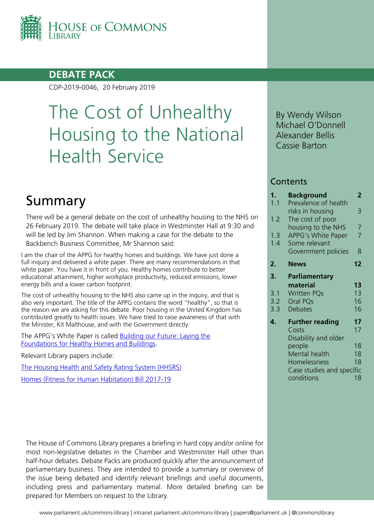

## **DEBATE PACK**

CDP-2019-0046, 20 February 2019

# The Cost of Unhealthy Housing to the National Health Service

# Summary

There will be a general debate on the cost of unhealthy housing to the NHS on 26 February 2019. The debate will take place in Westminster Hall at 9:30 and will be led by Jim Shannon. When making a case for the debate to the Backbench Business Committee, Mr Shannon said:

I am the chair of the APPG for healthy homes and buildings. We have just done a full inquiry and delivered a white paper. There are many recommendations in that white paper. You have it in front of you. Healthy homes contribute to better educational attainment, higher workplace productivity, reduced emissions, lower energy bills and a lower carbon footprint.

The cost of unhealthy housing to the NHS also came up in the inquiry, and that is also very important. The title of the APPG contains the word "healthy", so that is the reason we are asking for this debate. Poor housing in the United Kingdom has contributed greatly to health issues. We have tried to raise awareness of that with the Minister, Kit Malthouse, and with the Government directly.

The APPG's White Paper is called [Building our Future: Laying the](https://healthyhomesbuildings.org.uk/wp-content/uploads/2018/10/HHB-APPG-White-Paper-V1.pdf)  [Foundations for Healthy Homes and Buildings.](https://healthyhomesbuildings.org.uk/wp-content/uploads/2018/10/HHB-APPG-White-Paper-V1.pdf)

Relevant Library papers include:

[The Housing Health and Safety Rating System \(HHSRS\)](https://researchbriefings.parliament.uk/ResearchBriefing/Summary/SN01917)

[Homes \(Fitness for Human Habitation\) Bill 2017-19](https://researchbriefings.parliament.uk/ResearchBriefing/Summary/CBP-8185)

The House of Commons Library prepares a briefing in hard copy and/or online for most non-legislative debates in the Chamber and Westminster Hall other than half-hour debates. Debate Packs are produced quickly after the announcement of parliamentary business. They are intended to provide a summary or overview of the issue being debated and identify relevant briefings and useful documents, including press and parliamentary material. More detailed briefing can be prepared for Members on request to the Library.

By Wendy Wilson Michael O'Donnell Alexander Bellis Cassie Barton

### **Contents**

| 1.  | <b>Background</b>         | 2              |
|-----|---------------------------|----------------|
| 1.1 | Prevalence of health      |                |
|     | risks in housing          | 3              |
| 1.2 | The cost of poor          |                |
|     | housing to the NHS        | 7              |
| 1.3 | <b>APPG's White Paper</b> | $\overline{7}$ |
| 1.4 | Some relevant             |                |
|     | Government policies       | 8              |
| 2.  | <b>News</b>               | 12             |
| 3.  | Parliamentary             |                |
|     | material                  | 13             |
| 3.1 | <b>Written PQs</b>        | 13             |
| 3.2 | Oral PQs                  | 16             |
| 3.3 | <b>Debates</b>            | 16             |
|     |                           |                |
| 4.  | <b>Further reading</b>    | 17             |
|     | Costs                     | 17             |
|     | Disability and older      |                |
|     | people                    | 18             |
|     | Mental health             | 18             |
|     | Homelessness              | 18             |
|     | Case studies and specific |                |
|     | conditions                | 18             |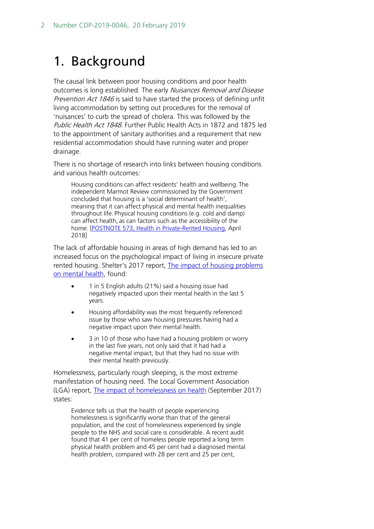# <span id="page-1-0"></span>1. Background

The causal link between poor housing conditions and poor health outcomes is long established. The early Nuisances Removal and Disease Prevention Act 1846 is said to have started the process of defining unfit living accommodation by setting out procedures for the removal of 'nuisances' to curb the spread of cholera. This was followed by the Public Health Act 1848. Further Public Health Acts in 1872 and 1875 led to the appointment of sanitary authorities and a requirement that new residential accommodation should have running water and proper drainage.

There is no shortage of research into links between housing conditions and various health outcomes:

Housing conditions can affect residents' health and wellbeing. The independent Marmot Review commissioned by the Government concluded that housing is a 'social determinant of health', meaning that it can affect physical and mental health inequalities throughout life. Physical housing conditions (e.g. cold and damp) can affect health, as can factors such as the accessibility of the home. [\[POSTNOTE 573, Health in Private-Rented Housing,](http://researchbriefings.files.parliament.uk/documents/POST-PN-0573/POST-PN-0573.pdf) April 2018]

The lack of affordable housing in areas of high demand has led to an increased focus on the psychological impact of living in insecure private rented housing. Shelter's 2017 report, [The impact of housing problems](https://england.shelter.org.uk/__data/assets/pdf_file/0005/1364063/Housing_and_mental_health_-_detailed_report.pdf)  [on mental health,](https://england.shelter.org.uk/__data/assets/pdf_file/0005/1364063/Housing_and_mental_health_-_detailed_report.pdf) found:

- 1 in 5 English adults (21%) said a housing issue had negatively impacted upon their mental health in the last 5 years.
- Housing affordability was the most frequently referenced issue by those who saw housing pressures having had a negative impact upon their mental health.
- 3 in 10 of those who have had a housing problem or worry in the last five years, not only said that it had had a negative mental impact, but that they had no issue with their mental health previously.

Homelessness, particularly rough sleeping, is the most extreme manifestation of housing need. The Local Government Association (LGA) report, [The impact of homelessness on health](https://www.housinglin.org.uk/_assets/Resources/Housing/OtherOrganisation/22.7-HEALTH-AND-HOMELESSNESS_v08_WEB_0.PDF) (September 2017) states:

Evidence tells us that the health of people experiencing homelessness is significantly worse than that of the general population, and the cost of homelessness experienced by single people to the NHS and social care is considerable. A recent audit found that 41 per cent of homeless people reported a long term physical health problem and 45 per cent had a diagnosed mental health problem, compared with 28 per cent and 25 per cent,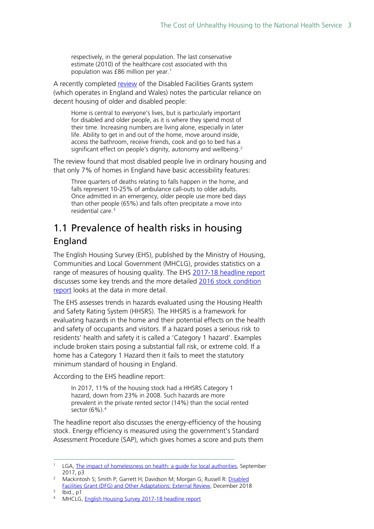respectively, in the general population. The last conservative estimate (2010) of the healthcare cost associated with this population was £86 million per year.<sup>[1](#page-2-1)</sup>

A recently completed [review](https://assets.publishing.service.gov.uk/government/uploads/system/uploads/attachment_data/file/762918/DFG_Review_2018_Summary.pdf) of the Disabled Facilities Grants system (which operates in England and Wales) notes the particular reliance on decent housing of older and disabled people:

Home is central to everyone's lives, but is particularly important for disabled and older people, as it is where they spend most of their time. Increasing numbers are living alone, especially in later life. Ability to get in and out of the home, move around inside, access the bathroom, receive friends, cook and go to bed has a significant effect on people's dignity, autonomy and wellbeing.<sup>[2](#page-2-2)</sup>

The review found that most disabled people live in ordinary housing and that only 7% of homes in England have basic accessibility features:

Three quarters of deaths relating to falls happen in the home, and falls represent 10-25% of ambulance call-outs to older adults. Once admitted in an emergency, older people use more bed days than other people (65%) and falls often precipitate a move into residential care.[3](#page-2-3)

# <span id="page-2-0"></span>1.1 Prevalence of health risks in housing England

The English Housing Survey (EHS), published by the Ministry of Housing, Communities and Local Government (MHCLG), provides statistics on a range of measures of housing quality. The EHS [2017-18 headline report](https://www.gov.uk/government/statistics/english-housing-survey-2017-to-2018-headline-report) discusses some key trends and the more detailed [2016 stock condition](https://www.gov.uk/government/statistics/english-housing-survey-2016-stock-condition)  [report](https://www.gov.uk/government/statistics/english-housing-survey-2016-stock-condition) looks at the data in more detail.

The EHS assesses trends in hazards evaluated using the Housing Health and Safety Rating System (HHSRS). The HHSRS is a framework for evaluating hazards in the home and their potential effects on the health and safety of occupants and visitors. If a hazard poses a serious risk to residents' health and safety it is called a 'Category 1 hazard'. Examples include broken stairs posing a substantial fall risk, or extreme cold. If a home has a Category 1 Hazard then it fails to meet the statutory minimum standard of housing in England.

According to the EHS headline report:

In 2017, 11% of the housing stock had a HHSRS Category 1 hazard, down from 23% in 2008. Such hazards are more prevalent in the private rented sector (14%) than the social rented sector  $(6\%)$ .<sup>[4](#page-2-4)</sup>

The headline report also discusses the energy-efficiency of the housing stock. Energy efficiency is measured using the government's Standard Assessment Procedure (SAP), which gives homes a score and puts them

<span id="page-2-1"></span><sup>&</sup>lt;sup>1</sup> LGA, The impact of homelessness on health: a quide for local authorities, September 2017, p3

<span id="page-2-2"></span><sup>&</sup>lt;sup>2</sup> Mackintosh S; Smith P; Garrett H; Davidson M; Morgan G; Russell R: Disabled [Facilities Grant \(DFG\) and Other Adaptations: External Review,](https://assets.publishing.service.gov.uk/government/uploads/system/uploads/attachment_data/file/762918/DFG_Review_2018_Summary.pdf) December 2018

<span id="page-2-4"></span><span id="page-2-3"></span> $\frac{3}{4}$  Ibid., p1

MHCLG, [English Housing Survey 2017-18 headline report](https://assets.publishing.service.gov.uk/government/uploads/system/uploads/attachment_data/file/774820/2017-18_EHS_Headline_Report.pdf)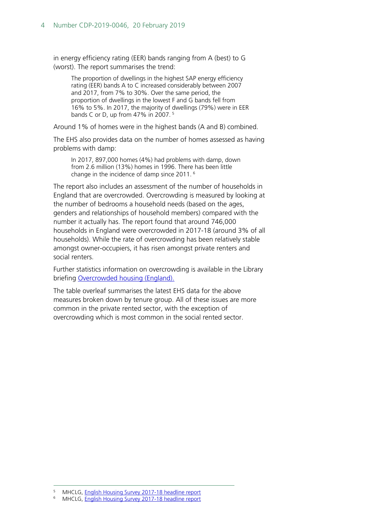in energy efficiency rating (EER) bands ranging from A (best) to G (worst). The report summarises the trend:

The proportion of dwellings in the highest SAP energy efficiency rating (EER) bands A to C increased considerably between 2007 and 2017, from 7% to 30%. Over the same period, the proportion of dwellings in the lowest F and G bands fell from 16% to 5%. In 2017, the majority of dwellings (79%) were in EER bands C or D, up from 47% in 2007. [5](#page-3-0)

Around 1% of homes were in the highest bands (A and B) combined.

The EHS also provides data on the number of homes assessed as having problems with damp:

In 2017, 897,000 homes (4%) had problems with damp, down from 2.6 million (13%) homes in 1996. There has been little change in the incidence of damp since 2011. [6](#page-3-1)

The report also includes an assessment of the number of households in England that are overcrowded. Overcrowding is measured by looking at the number of bedrooms a household needs (based on the ages, genders and relationships of household members) compared with the number it actually has. The report found that around 746,000 households in England were overcrowded in 2017-18 (around 3% of all households). While the rate of overcrowding has been relatively stable amongst owner-occupiers, it has risen amongst private renters and social renters.

Further statistics information on overcrowding is available in the Library briefing [Overcrowded housing \(England\).](https://researchbriefings.parliament.uk/ResearchBriefing/Summary/SN01013)

The table overleaf summarises the latest EHS data for the above measures broken down by tenure group. All of these issues are more common in the private rented sector, with the exception of overcrowding which is most common in the social rented sector.

 <sup>5</sup> MHCLG, [English Housing Survey 2017-18](https://assets.publishing.service.gov.uk/government/uploads/system/uploads/attachment_data/file/774820/2017-18_EHS_Headline_Report.pdf) headline report

<span id="page-3-1"></span><span id="page-3-0"></span>MHCLG, [English Housing Survey 2017-18 headline report](https://assets.publishing.service.gov.uk/government/uploads/system/uploads/attachment_data/file/774820/2017-18_EHS_Headline_Report.pdf)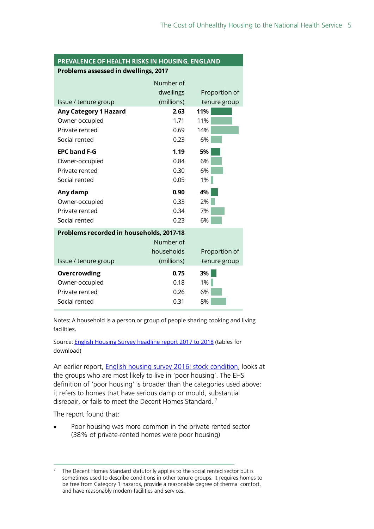#### **PREVALENCE OF HEALTH RISKS IN HOUSING, ENGLAND Problems assessed in dwellings, 2017**

|                                          | Number of  |               |  |  |
|------------------------------------------|------------|---------------|--|--|
|                                          | dwellings  | Proportion of |  |  |
| Issue / tenure group                     | (millions) | tenure group  |  |  |
| <b>Any Category 1 Hazard</b>             | 2.63       | 11%           |  |  |
| Owner-occupied                           | 1.71       | 11%           |  |  |
| Private rented                           | 0.69       | 14%           |  |  |
| Social rented                            | 0.23       | 6%            |  |  |
| <b>EPC band F-G</b>                      | 1.19       | 5%            |  |  |
| Owner-occupied                           | 0.84       | 6%            |  |  |
| Private rented                           | 0.30       | 6%            |  |  |
| Social rented                            | 0.05       | 1%            |  |  |
| Any damp                                 | 0.90       | 4%            |  |  |
| Owner-occupied                           | 0.33       | 2%            |  |  |
| Private rented                           | 0.34       | 7%            |  |  |
| Social rented                            | 0.23       | 6%            |  |  |
| Problems recorded in households, 2017-18 |            |               |  |  |
|                                          | Number of  |               |  |  |
|                                          | households | Proportion of |  |  |
| Issue / tenure group                     | (millions) | tenure group  |  |  |
| Overcrowding                             | 0.75       | 3%            |  |  |
| Owner-occupied                           | 0.18       | 1%            |  |  |
| Private rented                           | 0.26       | 6%            |  |  |
| Social rented                            | 0.31       | 8%            |  |  |

Notes: A household is a person or group of people sharing cooking and living facilities.

Source[: English Housing Survey headline report 2017 to 2018](https://www.gov.uk/government/statistics/english-housing-survey-2017-to-2018-headline-report) (tables for download)

An earlier report, [English housing survey 2016: stock condition,](https://www.gov.uk/government/statistics/english-housing-survey-2016-stock-condition) looks at the groups who are most likely to live in 'poor housing'. The EHS definition of 'poor housing' is broader than the categories used above: it refers to homes that have serious damp or mould, substantial disrepair, or fails to meet the Decent Homes Standard.<sup>[7](#page-4-0)</sup>

The report found that:

• Poor housing was more common in the private rented sector (38% of private-rented homes were poor housing)

<span id="page-4-0"></span>The Decent Homes Standard statutorily applies to the social rented sector but is sometimes used to describe conditions in other tenure groups. It requires homes to be free from Category 1 hazards, provide a reasonable degree of thermal comfort, and have reasonably modern facilities and services.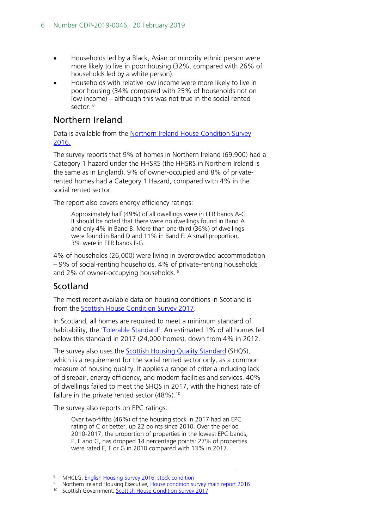- Households led by a Black, Asian or minority ethnic person were more likely to live in poor housing (32%, compared with 26% of households led by a white person).
- Households with relative low income were more likely to live in poor housing (34% compared with 25% of households not on low income) – although this was not true in the social rented sector.<sup>[8](#page-5-0)</sup>

## Northern Ireland

Data is available from the [Northern Ireland House Condition Survey](https://touch.nihe.gov.uk/index/corporate/housing_research/house_condition_survey.htm)  [2016.](https://touch.nihe.gov.uk/index/corporate/housing_research/house_condition_survey.htm)

The survey reports that 9% of homes in Northern Ireland (69,900) had a Category 1 hazard under the HHSRS (the HHSRS in Northern Ireland is the same as in England). 9% of owner-occupied and 8% of privaterented homes had a Category 1 Hazard, compared with 4% in the social rented sector.

The report also covers energy efficiency ratings:

Approximately half (49%) of all dwellings were in EER bands A-C. It should be noted that there were no dwellings found in Band A and only 4% in Band B. More than one-third (36%) of dwellings were found in Band D and 11% in Band E. A small proportion, 3% were in EER bands F-G.

4% of households (26,000) were living in overcrowded accommodation – 9% of social-renting households, 4% of private-renting households and 2% of owner-occupving households.<sup>[9](#page-5-1)</sup>

## Scotland

The most recent available data on housing conditions in Scotland is from the [Scottish House Condition Survey 2017.](https://www.gov.scot/publications/scottish-house-condition-survey-2017-key-findings/)

In Scotland, all homes are required to meet a minimum standard of habitability, the ['Tolerable Standard'.](https://www.gov.scot/publications/scottish-house-condition-survey-2017-key-findings/pages/9/#s7_9_10) An estimated 1% of all homes fell below this standard in 2017 (24,000 homes), down from 4% in 2012.

The survey also uses the **Scottish Housing Quality Standard (SHQS)**, which is a requirement for the social rented sector only, as a common measure of housing quality. It applies a range of criteria including lack of disrepair, energy efficiency, and modern facilities and services. 40% of dwellings failed to meet the SHQS in 2017, with the highest rate of failure in the private rented sector  $(48\%)$ .<sup>[10](#page-5-2)</sup>

The survey also reports on EPC ratings:

Over two-fifths (46%) of the housing stock in 2017 had an EPC rating of C or better, up 22 points since 2010. Over the period 2010-2017, the proportion of properties in the lowest EPC bands, E, F and G, has dropped 14 percentage points: 27% of properties were rated E, F or G in 2010 compared with 13% in 2017.

<span id="page-5-1"></span><span id="page-5-0"></span><sup>8</sup> MHCLG, [English Housing Survey 2016: stock condition](https://www.gov.uk/government/statistics/english-housing-survey-2016-stock-condition)

Northern Ireland Housing Executive, [House condition survey main report 2016](https://touch.nihe.gov.uk/house_condition_survey_main_report_2016.pdf)

<span id="page-5-2"></span><sup>&</sup>lt;sup>10</sup> Scottish Government[, Scottish House Condition Survey 2017](https://www.gov.scot/publications/scottish-house-condition-survey-2017-key-findings/)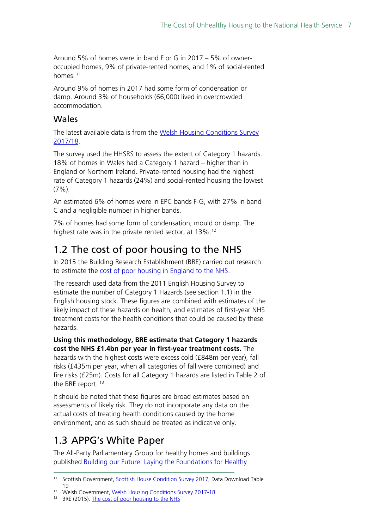Around 5% of homes were in band F or G in 2017 – 5% of owneroccupied homes, 9% of private-rented homes, and 1% of social-rented homes. [11](#page-6-2)

Around 9% of homes in 2017 had some form of condensation or damp. Around 3% of households (66,000) lived in overcrowded accommodation.

### Wales

The latest available data is from the Welsh Housing Conditions Survey [2017/18.](https://gov.wales/statistics-and-research/welsh-housing-conditions-survey/?lang=en)

The survey used the HHSRS to assess the extent of Category 1 hazards. 18% of homes in Wales had a Category 1 hazard – higher than in England or Northern Ireland. Private-rented housing had the highest rate of Category 1 hazards (24%) and social-rented housing the lowest  $(7\%)$ .

An estimated 6% of homes were in EPC bands F-G, with 27% in band C and a negligible number in higher bands.

7% of homes had some form of condensation, mould or damp. The highest rate was in the private rented sector, at 13%.<sup>[12](#page-6-3)</sup>

# <span id="page-6-0"></span>1.2 The cost of poor housing to the NHS

In 2015 the Building Research Establishment (BRE) carried out research to estimate the [cost of poor housing in England to the NHS.](https://www.bre.co.uk/filelibrary/pdf/87741-Cost-of-Poor-Housing-Briefing-Paper-v3.pdf)

The research used data from the 2011 English Housing Survey to estimate the number of Category 1 Hazards (see section 1.1) in the English housing stock. These figures are combined with estimates of the likely impact of these hazards on health, and estimates of first-year NHS treatment costs for the health conditions that could be caused by these hazards.

**Using this methodology, BRE estimate that Category 1 hazards cost the NHS £1.4bn per year in first-year treatment costs.** The hazards with the highest costs were excess cold (£848m per year), fall risks (£435m per year, when all categories of fall were combined) and fire risks (£25m). Costs for all Category 1 hazards are listed in Table 2 of the BRE report.<sup>[13](#page-6-4)</sup>

It should be noted that these figures are broad estimates based on assessments of likely risk. They do not incorporate any data on the actual costs of treating health conditions caused by the home environment, and as such should be treated as indicative only.

# <span id="page-6-1"></span>1.3 APPG's White Paper

The All-Party Parliamentary Group for healthy homes and buildings published [Building our Future: Laying the Foundations for Healthy](https://healthyhomesbuildings.org.uk/wp-content/uploads/2018/10/HHB-APPG-White-Paper-V1.pdf) 

<span id="page-6-2"></span><sup>&</sup>lt;sup>11</sup> Scottish Government[, Scottish House Condition Survey 2017,](https://www.gov.scot/publications/scottish-house-condition-survey-2017-key-findings/) Data Download Table 19

<span id="page-6-4"></span><span id="page-6-3"></span><sup>12</sup> Welsh Government, [Welsh Housing Conditions Survey 2017-18](https://gov.wales/statistics-and-research/welsh-housing-conditions-survey/?lang=en)

<sup>&</sup>lt;sup>13</sup> BRE (2015). [The cost of poor housing to the NHS](https://www.bre.co.uk/filelibrary/pdf/87741-Cost-of-Poor-Housing-Briefing-Paper-v3.pdf)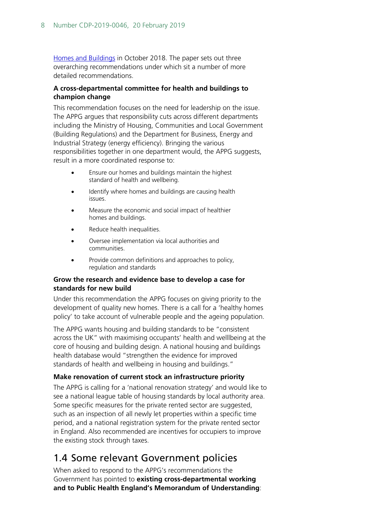[Homes and Buildings](https://healthyhomesbuildings.org.uk/wp-content/uploads/2018/10/HHB-APPG-White-Paper-V1.pdf) in October 2018. The paper sets out three overarching recommendations under which sit a number of more detailed recommendations.

#### **A cross-departmental committee for health and buildings to champion change**

This recommendation focuses on the need for leadership on the issue. The APPG argues that responsibility cuts across different departments including the Ministry of Housing, Communities and Local Government (Building Regulations) and the Department for Business, Energy and Industrial Strategy (energy efficiency). Bringing the various responsibilities together in one department would, the APPG suggests, result in a more coordinated response to:

- Ensure our homes and buildings maintain the highest standard of health and wellbeing.
- Identify where homes and buildings are causing health issues.
- Measure the economic and social impact of healthier homes and buildings.
- Reduce health inequalities.
- Oversee implementation via local authorities and communities.
- Provide common definitions and approaches to policy, regulation and standards

#### **Grow the research and evidence base to develop a case for standards for new build**

Under this recommendation the APPG focuses on giving priority to the development of quality new homes. There is a call for a 'healthy homes policy' to take account of vulnerable people and the ageing population.

The APPG wants housing and building standards to be "consistent across the UK" with maximising occupants' health and welllbeing at the core of housing and building design. A national housing and buildings health database would "strengthen the evidence for improved standards of health and wellbeing in housing and buildings."

### **Make renovation of current stock an infrastructure priority**

The APPG is calling for a 'national renovation strategy' and would like to see a national league table of housing standards by local authority area. Some specific measures for the private rented sector are suggested, such as an inspection of all newly let properties within a specific time period, and a national registration system for the private rented sector in England. Also recommended are incentives for occupiers to improve the existing stock through taxes.

# <span id="page-7-0"></span>1.4 Some relevant Government policies

When asked to respond to the APPG's recommendations the Government has pointed to **existing cross-departmental working and to Public Health England's Memorandum of Understanding**: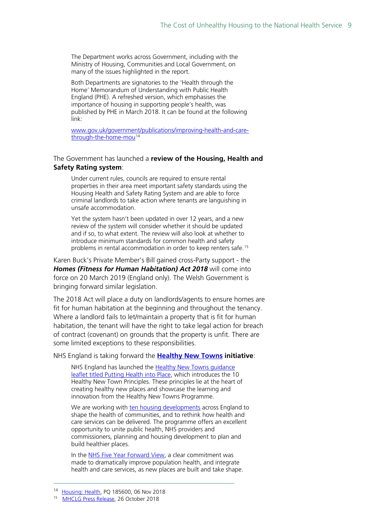The Department works across Government, including with the Ministry of Housing, Communities and Local Government, on many of the issues highlighted in the report.

Both Departments are signatories to the 'Health through the Home' Memorandum of Understanding with Public Health England (PHE). A refreshed version, which emphasises the importance of housing in supporting people's health, was published by PHE in March 2018. It can be found at the following link:

[www.gov.uk/government/publications/improving-health-and-care](http://www.gov.uk/government/publications/improving-health-and-care-through-the-home-mou)[through-the-home-mou](http://www.gov.uk/government/publications/improving-health-and-care-through-the-home-mou)<sup>[14](#page-8-0)</sup>

#### The Government has launched a **review of the Housing, Health and Safety Rating system**:

Under current rules, councils are required to ensure rental properties in their area meet important safety standards using the Housing Health and Safety Rating System and are able to force criminal landlords to take action where tenants are languishing in unsafe accommodation.

Yet the system hasn't been updated in over 12 years, and a new review of the system will consider whether it should be updated and if so, to what extent. The review will also look at whether to introduce minimum standards for common health and safety problems in rental accommodation in order to keep renters safe.[15](#page-8-1)

Karen Buck's Private Member's Bill gained cross-Party support - the *Homes (Fitness for Human Habitation) Act 2018* will come into force on 20 March 2019 (England only). The Welsh Government is bringing forward similar legislation.

The 2018 Act will place a duty on landlords/agents to ensure homes are fit for human habitation at the beginning and throughout the tenancy. Where a landlord fails to let/maintain a property that is fit for human habitation, the tenant will have the right to take legal action for breach of contract (covenant) on grounds that the property is unfit. There are some limited exceptions to these responsibilities.

NHS England is taking forward the **[Healthy New Towns](https://www.england.nhs.uk/ourwork/innovation/healthy-new-towns/) initiative**:

NHS England has launched the Healthy New Towns quidance [leaflet titled Putting Health into Place,](https://www.england.nhs.uk/publication/putting-health-into-place/) which introduces the 10 Healthy New Town Principles. These principles lie at the heart of creating healthy new places and showcase the learning and innovation from the Healthy New Towns Programme.

We are working with [ten housing developments](https://www.england.nhs.uk/2016/03/hlthy-new-towns/) across England to shape the health of communities, and to rethink how health and care services can be delivered. The programme offers an excellent opportunity to unite public health, NHS providers and commissioners, planning and housing development to plan and build healthier places.

In the [NHS Five Year Forward View,](https://www.england.nhs.uk/five-year-forward-view/) a clear commitment was made to dramatically improve population health, and integrate health and care services, as new places are built and take shape.

<span id="page-8-0"></span><sup>&</sup>lt;sup>14</sup> [Housing: Health,](http://www.parliament.uk/written-questions-answers-statements/written-question/commons/2018-10-30/185600) PQ 185600, 06 Nov 2018<br><sup>15</sup> [MHCLG Press Release,](https://www.gov.uk/government/news/greater-protection-for-renters-thanks-to-plans-to-tighten-tenant-safety) 26 October 2018

<span id="page-8-1"></span>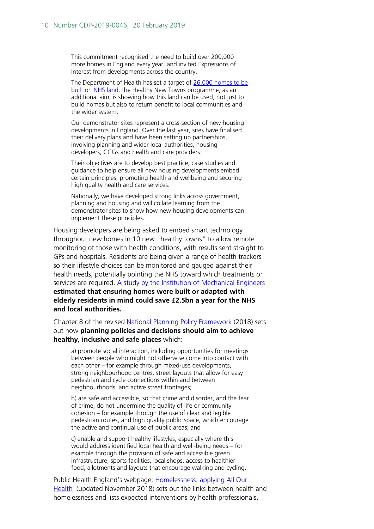This commitment recognised the need to build over 200,000 more homes in England every year, and invited Expressions of Interest from developments across the country.

The Department of Health has set a target of [26,000 homes to be](https://www.gov.uk/government/publications/nhs-property-and-estates-naylor-review)  built [on NHS land,](https://www.gov.uk/government/publications/nhs-property-and-estates-naylor-review) the Healthy New Towns programme, as an additional aim, is showing how this land can be used, not just to build homes but also to return benefit to local communities and the wider system.

Our demonstrator sites represent a cross-section of new housing developments in England. Over the last year, sites have finalised their delivery plans and have been setting up partnerships, involving planning and wider local authorities, housing developers, CCGs and health and care providers.

Their objectives are to develop best practice, case studies and guidance to help ensure all new housing developments embed certain principles, promoting health and wellbeing and securing high quality health and care services.

Nationally, we have developed strong links across government, planning and housing and will collate learning from the demonstrator sites to show how new housing developments can implement these principles.

Housing developers are being asked to embed smart technology throughout new homes in 10 new "healthy towns" to allow remote monitoring of those with health conditions, with results sent straight to GPs and hospitals. Residents are being given a range of health trackers so their lifestyle choices can be monitored and gauged against their health needs, potentially pointing the NHS toward which treatments or services are required. [A study by the Institution of Mechanical Engineers](https://www.housingnet.co.uk/pdf/IMechE%20Healthy%20Homes%20Report%20%281%29.pdf) **estimated that ensuring homes were built or adapted with elderly residents in mind could save £2.5bn a year for the NHS and local authorities.**

Chapter 8 of the revised [National Planning Policy Framework](https://assets.publishing.service.gov.uk/government/uploads/system/uploads/attachment_data/file/779764/NPPF_Feb_2019_web.pdf) (2018) sets out how **planning policies and decisions should aim to achieve healthy, inclusive and safe places** which:

a) promote social interaction, including opportunities for meetings between people who might not otherwise come into contact with each other – for example through mixed-use developments, strong neighbourhood centres, street layouts that allow for easy pedestrian and cycle connections within and between neighbourhoods, and active street frontages;

b) are safe and accessible, so that crime and disorder, and the fear of crime, do not undermine the quality of life or community cohesion – for example through the use of clear and legible pedestrian routes, and high quality public space, which encourage the active and continual use of public areas; and

c) enable and support healthy lifestyles, especially where this would address identified local health and well-being needs – for example through the provision of safe and accessible green infrastructure, sports facilities, local shops, access to healthier food, allotments and layouts that encourage walking and cycling.

Public Health England's webpage: Homelessness: applying All Our [Health](https://www.gov.uk/government/publications/homelessness-applying-all-our-health/homelessness-applying-all-our-health) (updated November 2018) sets out the links between health and homelessness and lists expected interventions by health professionals.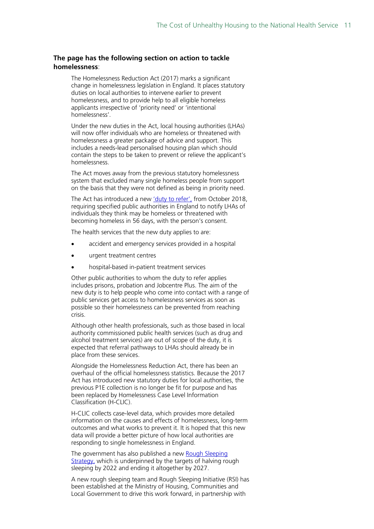#### **The page has the following section on action to tackle homelessness**:

The Homelessness Reduction Act (2017) marks a significant change in homelessness legislation in England. It places statutory duties on local authorities to intervene earlier to prevent homelessness, and to provide help to all eligible homeless applicants irrespective of 'priority need' or 'intentional homelessness'.

Under the new duties in the Act, local housing authorities (LHAs) will now offer individuals who are homeless or threatened with homelessness a greater package of advice and support. This includes a needs-lead personalised housing plan which should contain the steps to be taken to prevent or relieve the applicant's homelessness.

The Act moves away from the previous statutory homelessness system that excluded many single homeless people from support on the basis that they were not defined as being in priority need.

The Act has introduced a new ['duty to refer',](https://assets.publishing.service.gov.uk/government/uploads/system/uploads/attachment_data/file/682995/Final_Duty_to_refer_policy_factsheet.pdf) from October 2018, requiring specified public authorities in England to notify LHAs of individuals they think may be homeless or threatened with becoming homeless in 56 days, with the person's consent.

The health services that the new duty applies to are:

- accident and emergency services provided in a hospital
- urgent treatment centres
- hospital-based in-patient treatment services

Other public authorities to whom the duty to refer applies includes prisons, probation and Jobcentre Plus. The aim of the new duty is to help people who come into contact with a range of public services get access to homelessness services as soon as possible so their homelessness can be prevented from reaching crisis.

Although other health professionals, such as those based in local authority commissioned public health services (such as drug and alcohol treatment services) are out of scope of the duty, it is expected that referral pathways to LHAs should already be in place from these services.

Alongside the Homelessness Reduction Act, there has been an overhaul of the official homelessness statistics. Because the 2017 Act has introduced new statutory duties for local authorities, the previous P1E collection is no longer be fit for purpose and has been replaced by Homelessness Case Level Information Classification (H-CLIC).

H-CLIC collects case-level data, which provides more detailed information on the causes and effects of homelessness, long-term outcomes and what works to prevent it. It is hoped that this new data will provide a better picture of how local authorities are responding to single homelessness in England.

The government has also published a new [Rough Sleeping](https://www.gov.uk/government/publications/the-rough-sleeping-strategy)  [Strategy,](https://www.gov.uk/government/publications/the-rough-sleeping-strategy) which is underpinned by the targets of halving rough sleeping by 2022 and ending it altogether by 2027.

A new rough sleeping team and Rough Sleeping Initiative (RSI) has been established at the Ministry of Housing, Communities and Local Government to drive this work forward, in partnership with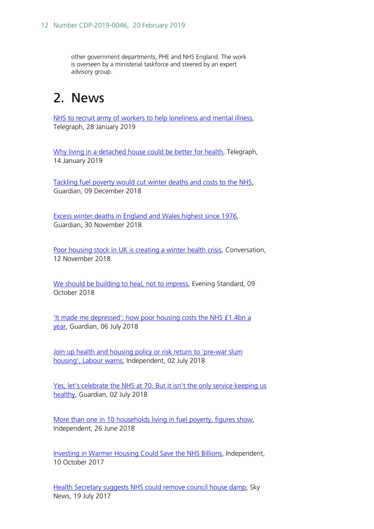other government departments, PHE and NHS England. The work is overseen by a ministerial taskforce and steered by an expert advisory group.

# <span id="page-11-0"></span>2. News

[NHS to recruit army of workers to help loneliness and mental illness,](https://www.telegraph.co.uk/news/2019/01/28/nhs-recruit-army-workers-help-loneliness-mental-illness/) Telegraph, 28 January 2019

[Why living in a detached house could be better for health,](https://www.telegraph.co.uk/science/2019/01/14/living-detached-house-could-better-health/) Telegraph, 14 January 2019

[Tackling fuel poverty would cut winter deaths and costs to the NHS,](https://www.theguardian.com/society/2018/dec/09/tackling-fuel-poverty-would-cut-winter-deaths-and-costs-to-the-nhs) Guardian, 09 December 2018

[Excess winter deaths in England and Wales highest since 1976,](https://www.theguardian.com/society/2018/nov/30/excess-winter-deaths-in-england-and-wales-highest-since-1976) Guardian, 30 November 2018

[Poor housing stock in UK is creating a winter health crisis,](http://theconversation.com/poor-housing-stock-in-uk-is-creating-a-winter-health-crisis-106578) Conversation, 12 November 2018

[We should be building to heal, not to impress,](https://www.standard.co.uk/comment/comment/we-should-be-building-to-heal-not-to-impress-a3957316.html) Evening Standard, 09 October 2018

['It made me depressed': how poor housing costs the NHS £1.4bn a](https://www.theguardian.com/society/2018/jul/06/depressed-poor-housing-costs-nhs-14bn-year)  [year,](https://www.theguardian.com/society/2018/jul/06/depressed-poor-housing-costs-nhs-14bn-year) Guardian, 06 July 2018

Join up health and housing policy or risk return to 'pre-war slum [housing', Labour warns,](https://www.independent.co.uk/news/uk/politics/health-housing-policy-joined-up-labour-warning-pre-war-slum-housing-risk-a8425661.html) Independent, 02 July 2018

[Yes, let's celebrate the NHS at 70. But it isn't the only service keeping us](https://www.theguardian.com/society/2018/jul/02/nhs-70-services-healthy)  [healthy,](https://www.theguardian.com/society/2018/jul/02/nhs-70-services-healthy) Guardian, 02 July 2018

[More than one in 10 households living in fuel poverty, figures show,](https://www.independent.co.uk/news/uk/home-news/fuel-poverty-uk-figures-poor-bills-cost-households-a8417426.html) Independent, 26 June 2018

[Investing in Warmer Housing Could Save the NHS Billions,](https://www.independent.co.uk/life-style/health-and-families/investing-in-warmer-housing-could-save-the-nhs-billions-a7990396.html) Independent, 10 October 2017

[Health Secretary suggests NHS could remove council house damp,](https://news.sky.com/story/health-secretary-suggests-nhs-could-remove-council-house-damp-10953902) Sky News, 19 July 2017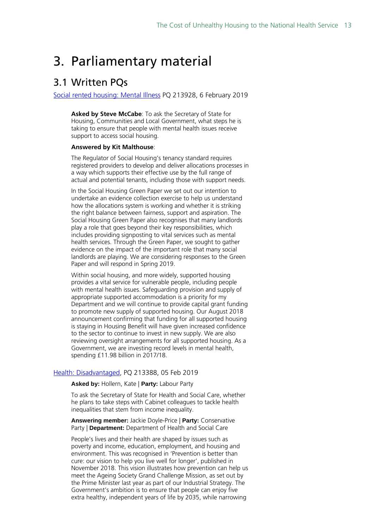# <span id="page-12-0"></span>3. Parliamentary material

# <span id="page-12-1"></span>3.1 Written PQs

[Social rented housing: Mental Illness](https://www.parliament.uk/written-questions-answers-statements/written-question/commons/2019-01-29/213928) PQ 213928, 6 February 2019

**Asked by Steve McCabe**: To ask the Secretary of State for Housing, Communities and Local Government, what steps he is taking to ensure that people with mental health issues receive support to access social housing.

#### **Answered by Kit Malthouse**:

The Regulator of Social Housing's tenancy standard requires registered providers to develop and deliver allocations processes in a way which supports their effective use by the full range of actual and potential tenants, including those with support needs.

In the Social Housing Green Paper we set out our intention to undertake an evidence collection exercise to help us understand how the allocations system is working and whether it is striking the right balance between fairness, support and aspiration. The Social Housing Green Paper also recognises that many landlords play a role that goes beyond their key responsibilities, which includes providing signposting to vital services such as mental health services. Through the Green Paper, we sought to gather evidence on the impact of the important role that many social landlords are playing. We are considering responses to the Green Paper and will respond in Spring 2019.

Within social housing, and more widely, supported housing provides a vital service for vulnerable people, including people with mental health issues. Safeguarding provision and supply of appropriate supported accommodation is a priority for my Department and we will continue to provide capital grant funding to promote new supply of supported housing. Our August 2018 announcement confirming that funding for all supported housing is staying in Housing Benefit will have given increased confidence to the sector to continue to invest in new supply. We are also reviewing oversight arrangements for all supported housing. As a Government, we are investing record levels in mental health, spending £11.98 billion in 2017/18.

#### [Health: Disadvantaged,](http://www.parliament.uk/written-questions-answers-statements/written-question/commons/2019-01-28/213388) PQ 213388, 05 Feb 2019

#### **Asked by:** Hollern, Kate | **Party:** Labour Party

To ask the Secretary of State for Health and Social Care, whether he plans to take steps with Cabinet colleagues to tackle health inequalities that stem from income inequality.

**Answering member:** Jackie Doyle-Price | **Party:** Conservative Party | **Department:** Department of Health and Social Care

People's lives and their health are shaped by issues such as poverty and income, education, employment, and housing and environment. This was recognised in 'Prevention is better than cure: our vision to help you live well for longer', published in November 2018. This vision illustrates how prevention can help us meet the Ageing Society Grand Challenge Mission, as set out by the Prime Minister last year as part of our Industrial Strategy. The Government's ambition is to ensure that people can enjoy five extra healthy, independent years of life by 2035, while narrowing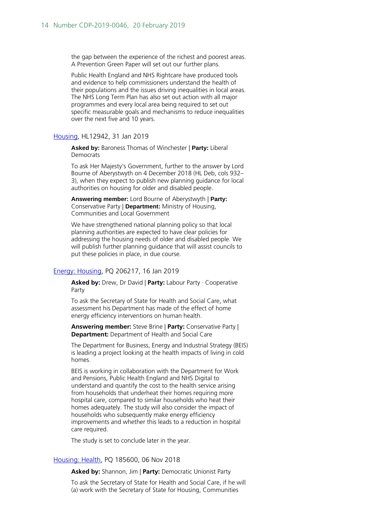the gap between the experience of the richest and poorest areas. A Prevention Green Paper will set out our further plans.

Public Health England and NHS Rightcare have produced tools and evidence to help commissioners understand the health of their populations and the issues driving inequalities in local areas. The NHS Long Term Plan has also set out action with all major programmes and every local area being required to set out specific measurable goals and mechanisms to reduce inequalities over the next five and 10 years.

#### [Housing,](http://www.parliament.uk/written-questions-answers-statements/written-question/lords/2019-01-17/HL12942) HL12942, 31 Jan 2019

**Asked by:** Baroness Thomas of Winchester | **Party:** Liberal Democrats

To ask Her Majesty's Government, further to the answer by Lord Bourne of Aberystwyth on 4 December 2018 (HL Deb, cols 932– 3), when they expect to publish new planning guidance for local authorities on housing for older and disabled people.

**Answering member:** Lord Bourne of Aberystwyth | **Party:**  Conservative Party | **Department:** Ministry of Housing, Communities and Local Government

We have strengthened national planning policy so that local planning authorities are expected to have clear policies for addressing the housing needs of older and disabled people. We will publish further planning guidance that will assist councils to put these policies in place, in due course.

#### [Energy: Housing,](http://www.parliament.uk/written-questions-answers-statements/written-question/commons/2019-01-08/206217) PQ 206217, 16 Jan 2019

**Asked by:** Drew, Dr David | **Party:** Labour Party · Cooperative Party

To ask the Secretary of State for Health and Social Care, what assessment his Department has made of the effect of home energy efficiency interventions on human health.

**Answering member:** Steve Brine | **Party:** Conservative Party | **Department:** Department of Health and Social Care

The Department for Business, Energy and Industrial Strategy (BEIS) is leading a project looking at the health impacts of living in cold homes.

BEIS is working in collaboration with the Department for Work and Pensions, Public Health England and NHS Digital to understand and quantify the cost to the health service arising from households that underheat their homes requiring more hospital care, compared to similar households who heat their homes adequately. The study will also consider the impact of households who subsequently make energy efficiency improvements and whether this leads to a reduction in hospital care required.

The study is set to conclude later in the year.

#### [Housing: Health,](http://www.parliament.uk/written-questions-answers-statements/written-question/commons/2018-10-30/185600) PQ 185600, 06 Nov 2018

**Asked by:** Shannon, Jim | **Party:** Democratic Unionist Party

To ask the Secretary of State for Health and Social Care, if he will (a) work with the Secretary of State for Housing, Communities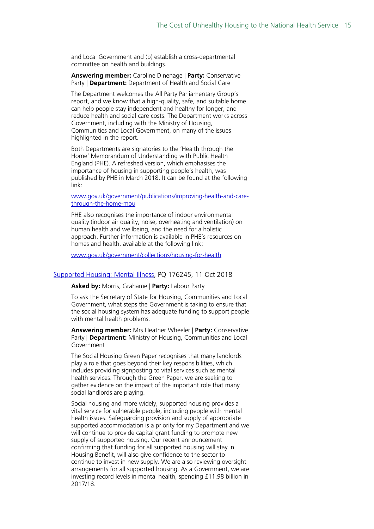and Local Government and (b) establish a cross-departmental committee on health and buildings.

#### **Answering member:** Caroline Dinenage | **Party:** Conservative Party | **Department:** Department of Health and Social Care

The Department welcomes the All Party Parliamentary Group's report, and we know that a high-quality, safe, and suitable home can help people stay independent and healthy for longer, and reduce health and social care costs. The Department works across Government, including with the Ministry of Housing, Communities and Local Government, on many of the issues highlighted in the report.

Both Departments are signatories to the 'Health through the Home' Memorandum of Understanding with Public Health England (PHE). A refreshed version, which emphasises the importance of housing in supporting people's health, was published by PHE in March 2018. It can be found at the following link:

[www.gov.uk/government/publications/improving-health-and-care](http://www.gov.uk/government/publications/improving-health-and-care-through-the-home-mou)[through-the-home-mou](http://www.gov.uk/government/publications/improving-health-and-care-through-the-home-mou)

PHE also recognises the importance of indoor environmental quality (indoor air quality, noise, overheating and ventilation) on human health and wellbeing, and the need for a holistic approach. Further information is available in PHE's resources on homes and health, available at the following link:

[www.gov.uk/government/collections/housing-for-health](http://www.gov.uk/government/collections/housing-for-health)

#### [Supported Housing: Mental Illness,](http://www.parliament.uk/written-questions-answers-statements/written-question/commons/2018-10-08/176245) PQ 176245, 11 Oct 2018

#### **Asked by:** Morris, Grahame | **Party:** Labour Party

To ask the Secretary of State for Housing, Communities and Local Government, what steps the Government is taking to ensure that the social housing system has adequate funding to support people with mental health problems.

**Answering member:** Mrs Heather Wheeler | **Party:** Conservative Party | **Department:** Ministry of Housing, Communities and Local Government

The Social Housing Green Paper recognises that many landlords play a role that goes beyond their key responsibilities, which includes providing signposting to vital services such as mental health services. Through the Green Paper, we are seeking to gather evidence on the impact of the important role that many social landlords are playing.

Social housing and more widely, supported housing provides a vital service for vulnerable people, including people with mental health issues. Safeguarding provision and supply of appropriate supported accommodation is a priority for my Department and we will continue to provide capital grant funding to promote new supply of supported housing. Our recent announcement confirming that funding for all supported housing will stay in Housing Benefit, will also give confidence to the sector to continue to invest in new supply. We are also reviewing oversight arrangements for all supported housing. As a Government, we are investing record levels in mental health, spending £11.98 billion in 2017/18.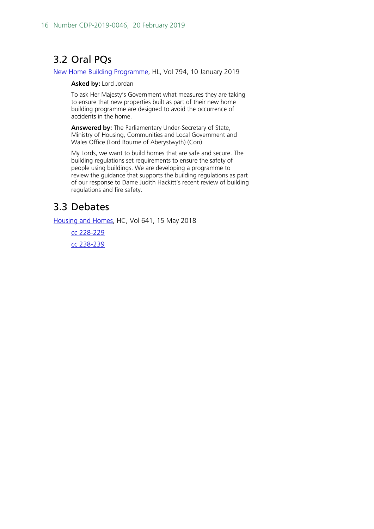# <span id="page-15-0"></span>3.2 Oral PQs

[New Home Building Programme,](http://bit.ly/2H56oFa) HL, Vol 794, 10 January 2019

#### **Asked by:** Lord Jordan

To ask Her Majesty's Government what measures they are taking to ensure that new properties built as part of their new home building programme are designed to avoid the occurrence of accidents in the home.

**Answered by:** The Parliamentary Under-Secretary of State, Ministry of Housing, Communities and Local Government and Wales Office (Lord Bourne of Aberystwyth) (Con)

My Lords, we want to build homes that are safe and secure. The building regulations set requirements to ensure the safety of people using buildings. We are developing a programme to review the guidance that supports the building regulations as part of our response to Dame Judith Hackitt's recent review of building regulations and fire safety.

# <span id="page-15-1"></span>3.3 Debates

[Housing and](https://hansard.parliament.uk/Commons/2018-05-15/debates/3B414DCB-3B7F-40A6-A6CC-AC6A15F164DD/HousingAndHomes) Homes, HC, Vol 641, 15 May 2018

[cc 228-229](http://bit.ly/2O1LV1Y) [cc 238-239](http://bit.ly/2V0Eb46)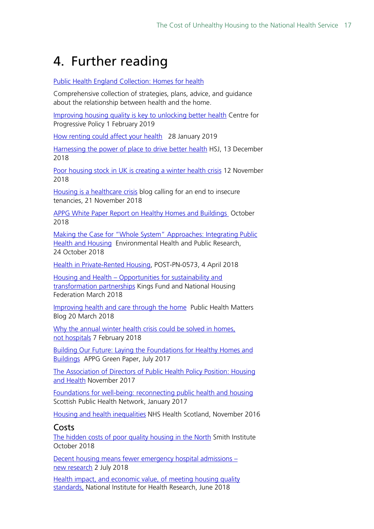# <span id="page-16-0"></span>4. Further reading

#### [Public Health England Collection:](https://www.gov.uk/government/collections/housing-for-health) Homes for health

Comprehensive collection of strategies, plans, advice, and guidance about the relationship between health and the home.

[Improving housing quality is key to unlocking better health](https://www.progressive-policy.net/publications/improving-housing-quality-is-key-to-unlocking-better-health) Centre for Progressive Policy 1 February 2019

[How renting could affect your health](https://theconversation.com/how-renting-could-affect-your-health-110334) 28 January 2019

[Harnessing the power of place to drive better health](https://www.hsj.co.uk/health-inequalities/harnessing-the-power-of-place-to-drive-better-health/7024021.article) HSJ, 13 December 2018

[Poor housing stock in UK is creating a winter health crisis](https://theconversation.com/poor-housing-stock-in-uk-is-creating-a-winter-health-crisis-106578) 12 November 2018

[Housing is a healthcare crisis](https://blogs.bmj.com/bmj/2018/11/21/fran-monticelli-housing-is-a-healthcare-crisis/) blog calling for an end to insecure tenancies, 21 November 2018

[APPG White Paper Report on Healthy Homes and Buildings](https://healthyhomesbuildings.org.uk/wp-content/uploads/2018/10/HHB-APPG-White-Paper-V1.pdf) October 2018

[Making the Case for "Whole System" Approaches: Integrating Public](https://www.mdpi.com/1660-4601/15/11/2345)  [Health and Housing](https://www.mdpi.com/1660-4601/15/11/2345) Environmental Health and Public Research, 24 October 2018

[Health in Private-Rented Housing,](http://researchbriefings.intranet.parliament.uk/ResearchBriefing/Summary/POST-PN-0573) POST-PN-0573, 4 April 2018

Housing and Health – [Opportunities for sustainability and](https://www.kingsfund.org.uk/publications/housing-and-health)  [transformation partnerships](https://www.kingsfund.org.uk/publications/housing-and-health) Kings Fund and National Housing Federation March 2018

[Improving health and care through the home](https://publichealthmatters.blog.gov.uk/2018/03/20/improving-health-and-care-through-the-home/) Public Health Matters Blog 20 March 2018

Why the annual winter health crisis could be solved in homes, not [hospitals](https://theconversation.com/why-the-annual-winter-health-crisis-could-be-solved-in-homes-not-hospitals-91098) 7 February 2018

[Building Our Future: Laying the Foundations for Healthy Homes and](https://www.housinglin.org.uk/_assets/Resources/Housing/OtherOrganisation/APPG_HHB_paper-Reply-by-30-Sept-20171.pdf)  [Buildings](https://www.housinglin.org.uk/_assets/Resources/Housing/OtherOrganisation/APPG_HHB_paper-Reply-by-30-Sept-20171.pdf) APPG Green Paper, July 2017

[The Association of Directors of Public Health Policy Position: Housing](http://www.adph.org.uk/wp-content/uploads/2017/11/ADPH-Policy-Position-Housing-and-Health.pdf)  [and Health](http://www.adph.org.uk/wp-content/uploads/2017/11/ADPH-Policy-Position-Housing-and-Health.pdf) November 2017

[Foundations for well-being: reconnecting public health and housing](https://www.scotphn.net/wp-content/uploads/2017/03/2017_03_08-HH-Main-Report-Final-1.pdf)  Scottish Public Health Network, January 2017

[Housing and health inequalities](http://www.healthscotland.scot/media/1250/housing-and-health_nov2016_english.pdf) NHS Health Scotland, November 2016

### <span id="page-16-1"></span>Costs

[The hidden costs of poor quality housing in the North](http://www.smith-institute.org.uk/book/the-hidden-costs-of-poor-quality-housing-in-the-north/) Smith Institute October 2018

[Decent housing means fewer emergency hospital admissions –](https://theconversation.com/decent-housing-means-fewer-emergency-hospital-admissions-new-research-86329) new [research](https://theconversation.com/decent-housing-means-fewer-emergency-hospital-admissions-new-research-86329) 2 July 2018

[Health impact, and economic value, of meeting housing quality](https://njl-admin.nihr.ac.uk/document/download/2014671)  [standards,](https://njl-admin.nihr.ac.uk/document/download/2014671) National Institute for Health Research, June 2018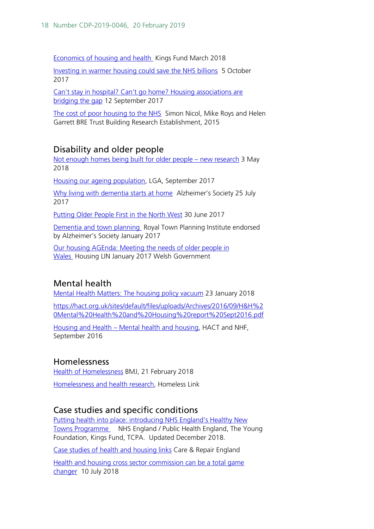[Economics of housing and health](https://www.kingsfund.org.uk/publications/housing-and-health) Kings Fund March 2018

[Investing in warmer housing could save the NHS](https://theconversation.com/investing-in-warmer-housing-could-save-the-nhs-billions-82196) billions 5 October 2017

[Can't stay in hospital? Can't go home? Housing associations are](https://www.hsj.co.uk/comment/cant-stay-in-hospital-cant-go-home-housing-associations-are-bridging-the-gap/7020539.article)  [bridging the gap](https://www.hsj.co.uk/comment/cant-stay-in-hospital-cant-go-home-housing-associations-are-bridging-the-gap/7020539.article) 12 September 2017

[The cost of poor housing to the NHS](https://www.bre.co.uk/filelibrary/pdf/87741-Cost-of-Poor-Housing-Briefing-Paper-v3.pdf) Simon Nicol, Mike Roys and Helen Garrett BRE Trust Building Research Establishment, 2015

## <span id="page-17-0"></span>Disability and older people

[Not enough homes being built for older people –](https://theconversation.com/not-enough-homes-being-built-for-older-people-new-research-93602) new research 3 May 2018 [Housing our ageing population,](https://www.local.gov.uk/sites/default/files/documents/5.17%20-%20Housing%20our%20ageing%20population_07_0.pdf) LGA, September 2017

[Why living with dementia starts at home](https://www.alzheimers.org.uk/blog/why-living-well-dementia-starts-home) Alzheimer's Society 25 July 2017

[Putting Older People First in the North West](https://www.adass.org.uk/putting-older-people-first-in-the-north-west) 30 June 2017

[Dementia and town planning](https://www.rtpi.org.uk/media/2213533/dementia_and_town_planning_final.compressed.pdf) Royal Town Planning Institute endorsed by Alzheimer's Society January 2017

[Our housing AGEnda: Meeting the needs of older people in](https://www.housinglin.org.uk/_assets/Resources/Housing/OtherOrganisation/170213-expert-group-final-report-eng.pdf)  [Wales](https://www.housinglin.org.uk/_assets/Resources/Housing/OtherOrganisation/170213-expert-group-final-report-eng.pdf) Housing LIN January 2017 Welsh Government

## <span id="page-17-1"></span>Mental health

[Mental Health Matters: The housing policy vacuum](https://www.hsj.co.uk/mental-health/mental-health-matters-the-housing-policy-vacuum/7021498.article) 23 January 2018

[https://hact.org.uk/sites/default/files/uploads/Archives/2016/09/H&H%2](https://hact.org.uk/sites/default/files/uploads/Archives/2016/09/H&H%20Mental%20Health%20and%20Housing%20report%20Sept2016.pdf) [0Mental%20Health%20and%20Housing%20report%20Sept2016.pdf](https://hact.org.uk/sites/default/files/uploads/Archives/2016/09/H&H%20Mental%20Health%20and%20Housing%20report%20Sept2016.pdf)

Housing and Health – [Mental health and housing,](https://hact.org.uk/sites/default/files/uploads/Archives/2016/09/H&H%20Mental%20Health%20and%20Housing%20report%20Sept2016.pdf) HACT and NHF, September 2016

## <span id="page-17-2"></span>Homelessness

[Health of Homelessness](https://www.bmj.com/content/360/bmj.k902/rr) BMJ, 21 February 2018

[Homelessness and health research,](https://www.homeless.org.uk/facts/our-research/all-research-reports/homelessness-and-health-research) Homeless Link

### <span id="page-17-3"></span>Case studies and specific conditions

[Putting health into place: introducing NHS England's Healthy New](https://www.england.nhs.uk/wp-content/uploads/2018/09/putting-health-into-place-v4.pdf)  [Towns Programme](https://www.england.nhs.uk/wp-content/uploads/2018/09/putting-health-into-place-v4.pdf) NHS England / Public Health England, The Young Foundation, Kings Fund, TCPA. Updated December 2018.

[Case studies of health and housing links](http://careandrepair-england.org.uk/home-from-hospital-initiatives/) Care & Repair England

[Health and housing cross sector commission can be a total game](https://www.hsj.co.uk/health-and-housing-cross-sector-commission-can-be-a-total-game-changer/7022884.article)  [changer](https://www.hsj.co.uk/health-and-housing-cross-sector-commission-can-be-a-total-game-changer/7022884.article) 10 July 2018